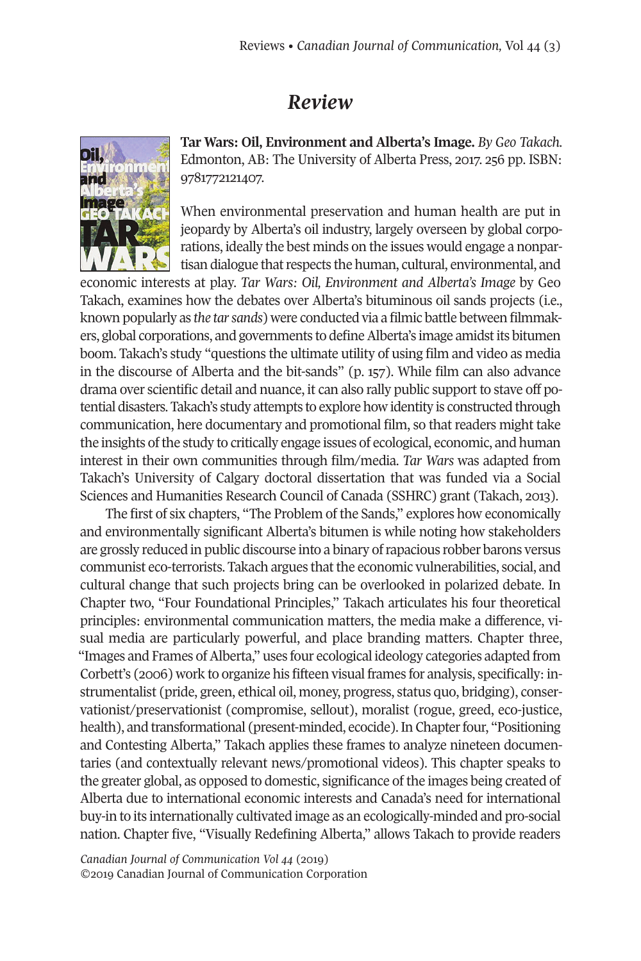## *Review*



**Tar Wars: Oil, Environment and Alberta's Image.** *By Geo Takach.* Edmonton, AB: The University of Alberta Press, 2017. 256 pp. ISBN: 9781772121407.

When environmental preservation and human health are put in jeopardy by Alberta's oil industry, largely overseen by global corporations, ideally the best minds on the issues would engage a nonpartisan dialogue that respects the human, cultural, environmental, and

economic interests at play. *Tar Wars: Oil, Environment and Alberta's Image* by Geo Takach, examines how the debates over Alberta's bituminous oil sands projects (i.e., known popularly as *the tarsands*) were conducted via a filmic battle between filmmakers, global corporations, and governments to define Alberta's image amidst its bitumen boom. Takach's study "questions the ultimate utility of using film and video as media in the discourse of Alberta and the bit-sands" (p. 157). While film can also advance drama over scientific detail and nuance, it can also rally public support to stave off potential disasters. Takach's study attempts to explore how identity is constructed through communication, here documentary and promotional film, so that readers might take the insights of the study to critically engage issues of ecological, economic, and human interest in their own communities through film/media. *Tar Wars* was adapted from Takach's University of Calgary doctoral dissertation that was funded via a Social Sciences and Humanities Research Council of Canada (SSHRC) grant (Takach, 2013).

The first of six chapters, "The Problem of the Sands," explores how economically and environmentally significant Alberta's bitumen is while noting how stakeholders are grossly reduced in public discourse into a binary ofrapacious robber barons versus communist eco-terrorists. Takach argues thatthe economic vulnerabilities, social, and cultural change that such projects bring can be overlooked in polarized debate. In Chapter two, "Four Foundational Principles," Takach articulates his four theoretical principles: environmental communication matters, the media make a difference, visual media are particularly powerful, and place branding matters. Chapter three, "Images and Frames of Alberta," uses four ecological ideology categories adapted from Corbett's (2006) work to organize his fifteen visual frames for analysis, specifically: instrumentalist (pride, green, ethical oil, money, progress, status quo, bridging), conservationist/preservationist (compromise, sellout), moralist (rogue, greed, eco-justice, health), and transformational (present-minded, ecocide). In Chapter four, "Positioning and Contesting Alberta," Takach applies these frames to analyze nineteen documentaries (and contextually relevant news/promotional videos). This chapter speaks to the greater global, as opposed to domestic, significance of the images being created of Alberta due to international economic interests and Canada's need for international buy-in to its internationally cultivated image as an ecologically-minded and pro-social nation. Chapter five, "Visually Redefining Alberta," allows Takach to provide readers

*Canadian Journal of [Communication](http://www.cjc-online.ca) Vol 44* (2019) ©2019 Canadian Journal of Communication Corporation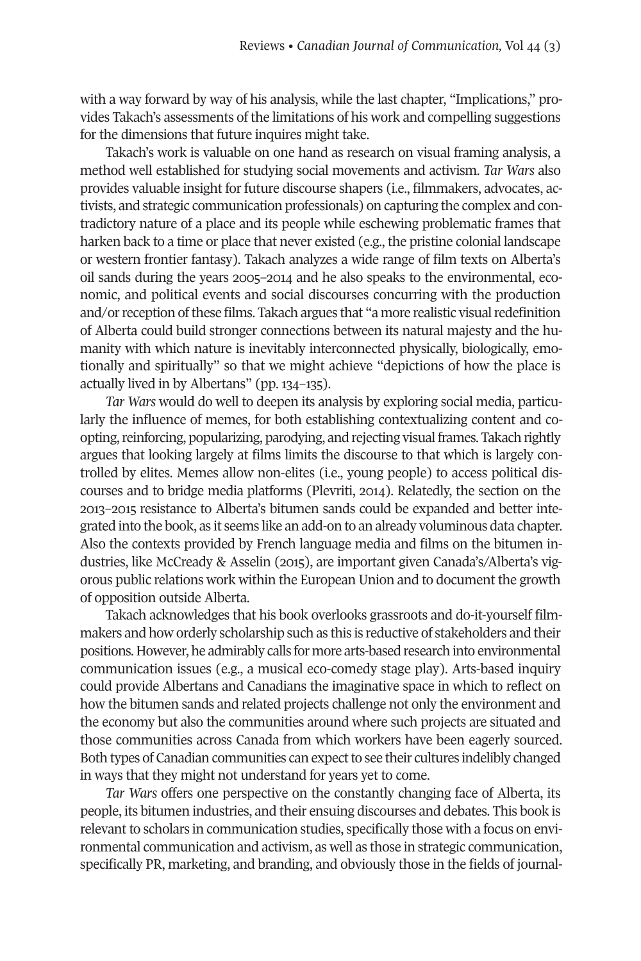with a way forward by way of his analysis, while the last chapter, "Implications," provides Takach's assessments of the limitations of his work and compelling suggestions for the dimensions that future inquires might take.

Takach's work is valuable on one hand as research on visual framing analysis, a method well established for studying social movements and activism. *Tar Wars* also provides valuable insight for future discourse shapers (i.e., filmmakers, advocates, activists, and strategic communication professionals) on capturing the complex and contradictory nature of a place and its people while eschewing problematic frames that harken back to a time or place that never existed (e.g., the pristine colonial landscape or western frontier fantasy). Takach analyzes a wide range of film texts on Alberta's oil sands during the years 2005–2014 and he also speaks to the environmental, economic, and political events and social discourses concurring with the production and/or reception of these films. Takach argues that "a more realistic visual redefinition of Alberta could build stronger connections between its natural majesty and the humanity with which nature is inevitably interconnected physically, biologically, emotionally and spiritually" so that we might achieve "depictions of how the place is actually lived in by Albertans" (pp. 134–135).

*Tar Wars* would do well to deepen its analysis by exploring social media, particularly the influence of memes, for both establishing contextualizing content and coopting, reinforcing, popularizing, parodying, and rejecting visual frames. Takach rightly argues that looking largely at films limits the discourse to that which is largely controlled by elites. Memes allow non-elites (i.e., young people) to access political discourses and to bridge media platforms (Plevriti, 2014). Relatedly, the section on the 2013–2015 resistance to Alberta's bitumen sands could be expanded and better integrated into the book, as it seems like an add-on to an already voluminous data chapter. Also the contexts provided by French language media and films on the bitumen industries, like McCready & Asselin (2015), are important given Canada's/Alberta's vigorous public relations work within the European Union and to document the growth of opposition outside Alberta.

Takach acknowledges that his book overlooks grassroots and do-it-yourself filmmakers and how orderly scholarship such as this is reductive of stakeholders and their positions. However, he admirably calls for more arts-based research into environmental communication issues (e.g., a musical eco-comedy stage play). Arts-based inquiry could provide Albertans and Canadians the imaginative space in which to reflect on how the bitumen sands and related projects challenge not only the environment and the economy but also the communities around where such projects are situated and those communities across Canada from which workers have been eagerly sourced. Both types of Canadian communities can expect to see their cultures indelibly changed in ways that they might not understand for years yet to come.

*Tar Wars* offers one perspective on the constantly changing face of Alberta, its people, its bitumen industries, and their ensuing discourses and debates. This book is relevant to scholars in communication studies, specifically those with a focus on environmental communication and activism, as well as those in strategic communication, specifically PR, marketing, and branding, and obviously those in the fields of journal